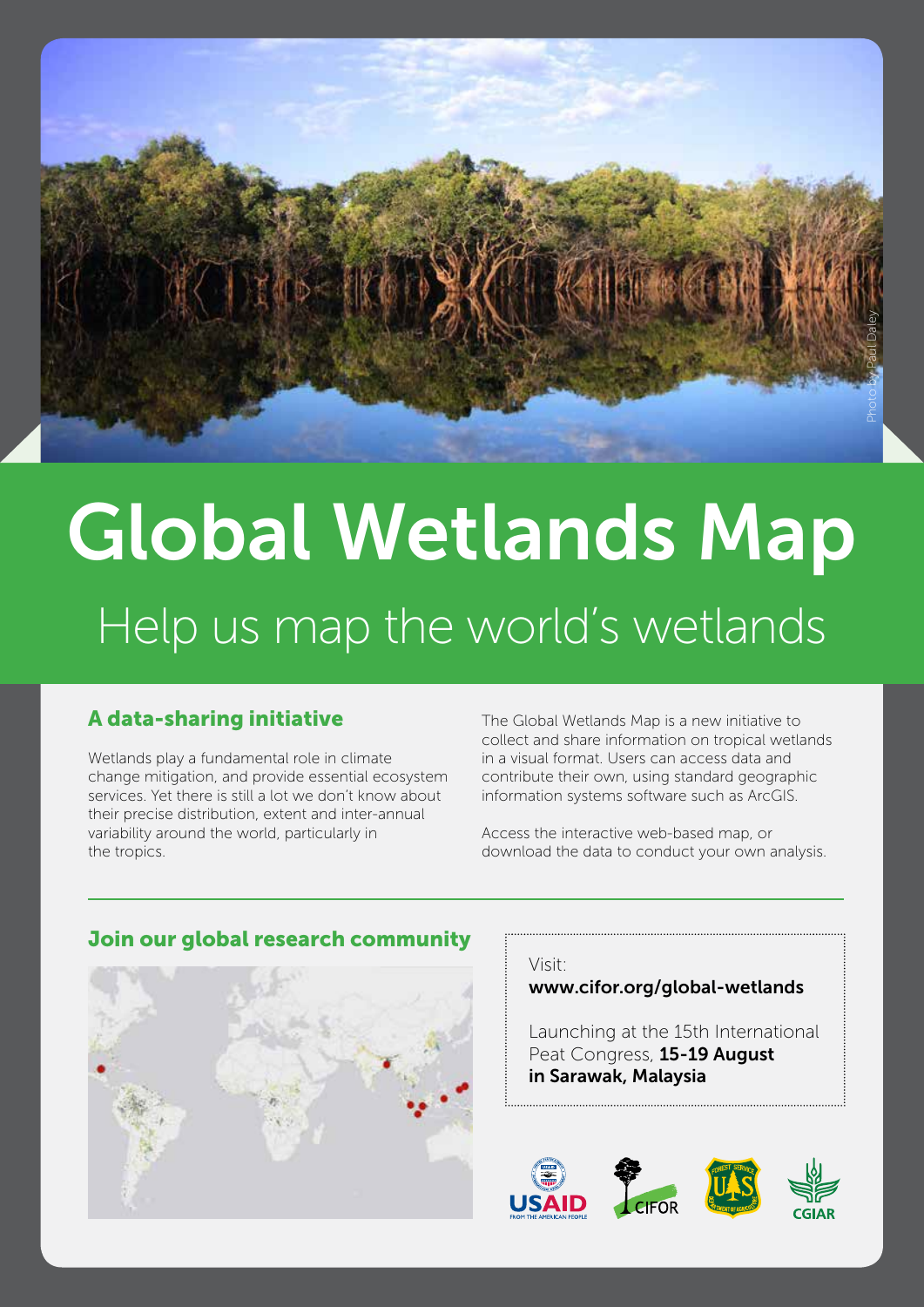

# Global Wetlands Map Help us map the world's wetlands

# A data-sharing initiative

Wetlands play a fundamental role in climate change mitigation, and provide essential ecosystem services. Yet there is still a lot we don't know about their precise distribution, extent and inter-annual variability around the world, particularly in the tropics.

The Global Wetlands Map is a new initiative to collect and share information on tropical wetlands in a visual format. Users can access data and contribute their own, using standard geographic information systems software such as ArcGIS.

Access the interactive web-based map, or download the data to conduct your own analysis.



## Join our global research community

## Visit:

## www.cifor.org/global-wetlands

Launching at the 15th International Peat Congress, 15-19 August in Sarawak, Malaysia